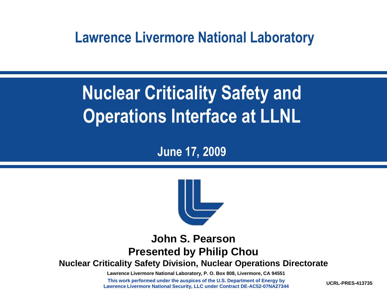**Lawrence Livermore National Laboratory**

# **Nuclear Criticality Safety and Operations Interface at LLNL**

#### **June 17, 2009**



#### **John S. Pearson Presented by Philip Chou**

**Nuclear Criticality Safety Division, Nuclear Operations Directorate**

**Lawrence Livermore National Laboratory, P. O. Box 808, Livermore, CA 94551**

**This work performed under the auspices of the U.S. Department of Energy by Lawrence Livermore National Security, LLC under Contract DE-AC52-07NA27344**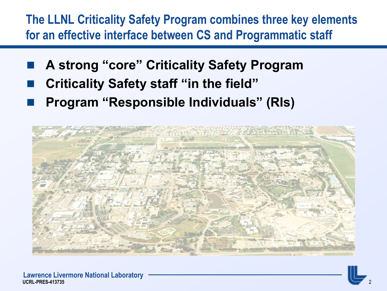#### **The LLNL Criticality Safety Program combines three key elements for an effective interface between CS and Programmatic staff**

- **A strong "core" Criticality Safety Program**
- **Criticality Safety staff "in the field"**
- **Program "Responsible Individuals" (RIs)**

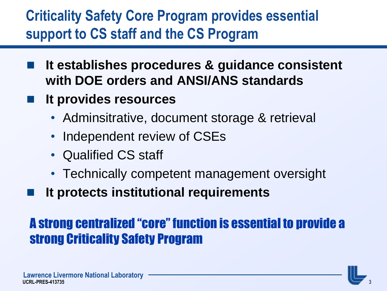### **Criticality Safety Core Program provides essential support to CS staff and the CS Program**

- **It establishes procedures & guidance consistent with DOE orders and ANSI/ANS standards**
- **It provides resources**
	- Adminsitrative, document storage & retrieval
	- Independent review of CSEs
	- Qualified CS staff
	- Technically competent management oversight
- **It protects institutional requirements**

#### A strong centralized "core" function is essential to provide a strong Criticality Safety Program

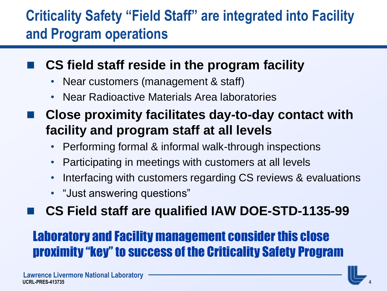### **Criticality Safety "Field Staff" are integrated into Facility and Program operations**

#### **CS field staff reside in the program facility**

- Near customers (management & staff)
- Near Radioactive Materials Area laboratories
- **Close proximity facilitates day-to-day contact with facility and program staff at all levels** 
	- Performing formal & informal walk-through inspections
	- Participating in meetings with customers at all levels
	- Interfacing with customers regarding CS reviews & evaluations
	- "Just answering questions"
- **CS Field staff are qualified IAW DOE-STD-1135-99**

#### Laboratory and Facility management consider this close proximity "key" to success of the Criticality Safety Program

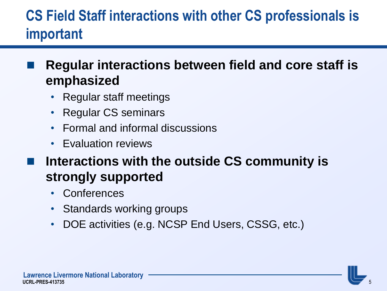## **CS Field Staff interactions with other CS professionals is important**

#### **Regular interactions between field and core staff is emphasized**

- Regular staff meetings
- Regular CS seminars
- Formal and informal discussions
- Evaluation reviews
- **Interactions with the outside CS community is strongly supported**
	- Conferences
	- Standards working groups
	- DOE activities (e.g. NCSP End Users, CSSG, etc.)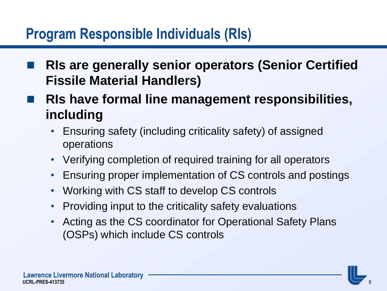### **Program Responsible Individuals (RIs)**

 **RIs are generally senior operators (Senior Certified Fissile Material Handlers)**

 **RIs have formal line management responsibilities, including**

- Ensuring safety (including criticality safety) of assigned operations
- Verifying completion of required training for all operators
- Ensuring proper implementation of CS controls and postings
- Working with CS staff to develop CS controls
- Providing input to the criticality safety evaluations
- Acting as the CS coordinator for Operational Safety Plans (OSPs) which include CS controls

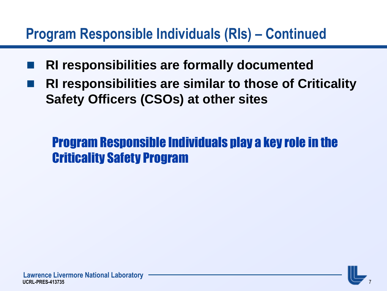### **Program Responsible Individuals (RIs) – Continued**

- **RI responsibilities are formally documented**
- **RI responsibilities are similar to those of Criticality Safety Officers (CSOs) at other sites**

#### Program Responsible Individuals play a key role in the Criticality Safety Program

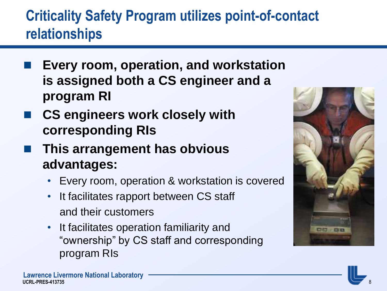## **Criticality Safety Program utilizes point-of-contact relationships**

- **Every room, operation, and workstation is assigned both a CS engineer and a program RI**
- **CS engineers work closely with corresponding RIs**
- **This arrangement has obvious advantages:**
	- Every room, operation & workstation is covered
	- It facilitates rapport between CS staff and their customers
	- It facilitates operation familiarity and "ownership" by CS staff and corresponding program RIs

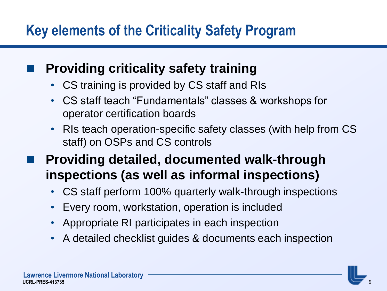### **Key elements of the Criticality Safety Program**

#### **Providing criticality safety training**

- CS training is provided by CS staff and RIs
- CS staff teach "Fundamentals" classes & workshops for operator certification boards
- RIs teach operation-specific safety classes (with help from CS staff) on OSPs and CS controls
- **Providing detailed, documented walk-through inspections (as well as informal inspections)**
	- CS staff perform 100% quarterly walk-through inspections
	- Every room, workstation, operation is included
	- Appropriate RI participates in each inspection
	- A detailed checklist guides & documents each inspection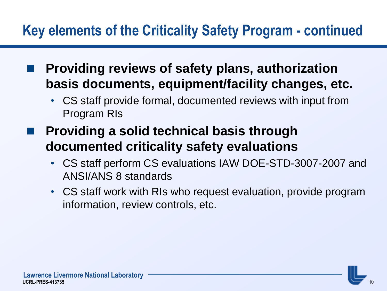- **Providing reviews of safety plans, authorization basis documents, equipment/facility changes, etc.**
	- CS staff provide formal, documented reviews with input from Program RIs
- **Providing a solid technical basis through documented criticality safety evaluations**
	- CS staff perform CS evaluations IAW DOE-STD-3007-2007 and ANSI/ANS 8 standards
	- CS staff work with RIs who request evaluation, provide program information, review controls, etc.

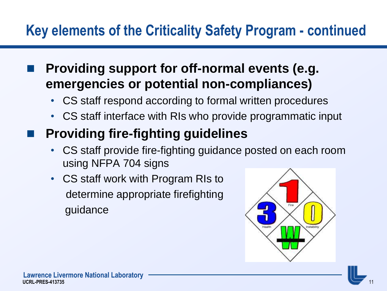**Providing support for off-normal events (e.g. emergencies or potential non-compliances)**

- CS staff respond according to formal written procedures
- CS staff interface with RIs who provide programmatic input

#### **Providing fire-fighting guidelines**

- CS staff provide fire-fighting guidance posted on each room using NFPA 704 signs
- CS staff work with Program RIs to determine appropriate firefighting guidance

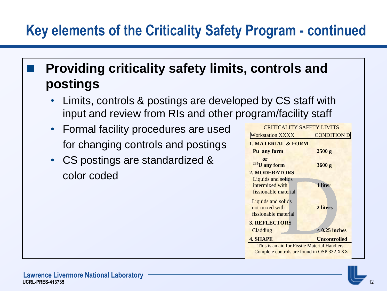#### **Providing criticality safety limits, controls and postings**

- Limits, controls & postings are developed by CS staff with input and review from RIs and other program/facility staff
- Formal facility procedures are used for changing controls and postings
- CS postings are standardized & color coded

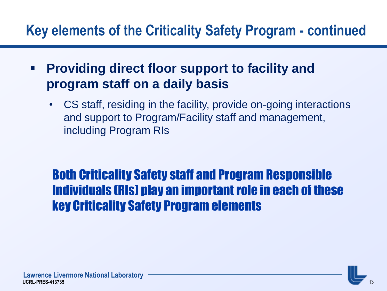- **Providing direct floor support to facility and program staff on a daily basis**
	- CS staff, residing in the facility, provide on-going interactions and support to Program/Facility staff and management, including Program RIs

#### Both Criticality Safety staff and Program Responsible Individuals (RIs) play an important role in each of these key Criticality Safety Program elements

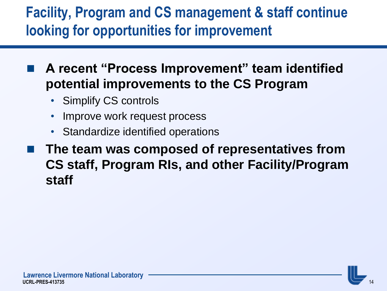### **Facility, Program and CS management & staff continue looking for opportunities for improvement**

 **A recent "Process Improvement" team identified potential improvements to the CS Program**

- **Simplify CS controls**
- Improve work request process
- Standardize identified operations
- **The team was composed of representatives from CS staff, Program RIs, and other Facility/Program staff**